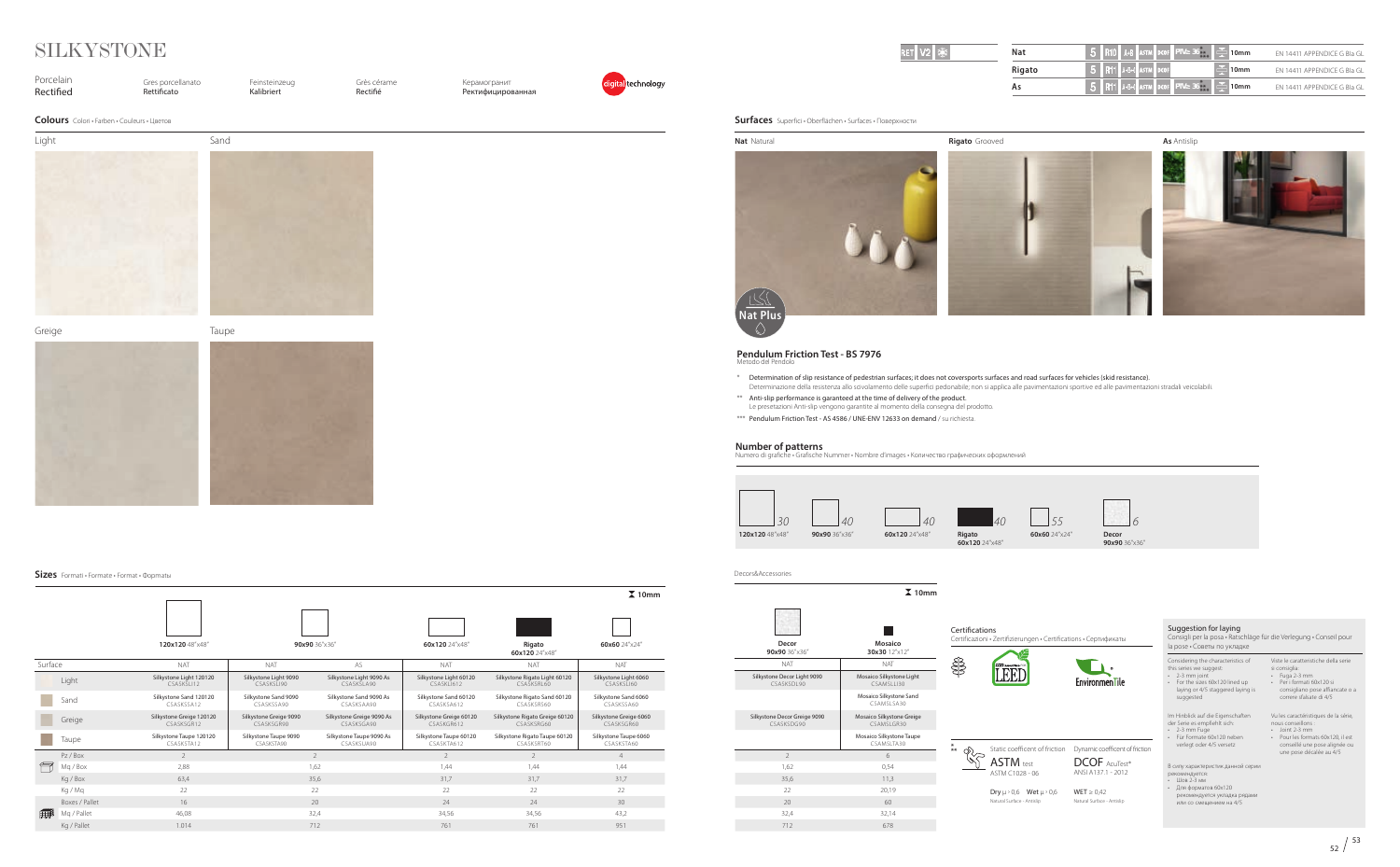**120x120** 48"x48" **90x90** 36"x36" **60x120** 24"x48" **Rigato 60x120** 24"x48" **60x60** 24"x24" Surface NAT NAT AS NAT NAT NAT Light Silkystone Light 120120 CSASKSLI12 Silkystone Light 9090 CSASKSLI90 Silkystone Light 9090 As CSASKSLA90 Silkystone Light 60120 CSASKLI612 Silkystone Rigato Light 60120 CSASKSRL60 Silkystone Light 6060 CSASKSLI60 Sand Silkystone Sand 120120 CSASKSSA12 Silkystone Sand 9090 CSASKSSA90 Silkystone Sand 9090 As CSASKSAA90 Silkystone Sand 60120 CSASKSA612 Silkystone Rigato Sand 60120 CSASKSRS60 Silkystone Sand 6060 CSASKSSA60 Greige Silkystone Greige 120120 CSASKSGR12 Silkystone Greige 9090 CSASKSGR90 Silkystone Greige 9090 As CSASKSGA90 Silkystone Greige 60120 CSASKGR612 Silkystone Rigato Greige 60120 CSASKSRG60 Silkystone Greige 6060 CSASKSGR60 **Taupe** Silkystone Taupe 120120 CSASKSTA12 Silkystone Taupe 9090 CSASKSTA90 Silkystone Taupe 9090 As CSASKSUA90 Silkystone Taupe 60120 CSASKTA612 Silkystone Rigato Taupe 60120 CSASKSRT60 Silkystone Taupe 6060 CSASKSTA60 Pz/Box  $2$  4 Mq / Box 2,88 1,62 1,44 1,44 1,44 Kg / Box 63,4 35,6 31,7 31,7 31,7 Kg / Mq 22 22 22 22 22 Boxes / Pallet  $16$   $16$   $20$   $24$   $24$   $24$   $24$ Mq / Pallet 46,08 32,4 34,56 34,56 43,2 Kg / Pallet 1.014 712 761 761 951 **10mm**

| 漆<br>2 | Nat           | R10 A+B ASTM DCOF PTV 36              | $^{\circ}$ 10mm                | EN 14411 APPENDICE G BIa GL |
|--------|---------------|---------------------------------------|--------------------------------|-----------------------------|
|        | <b>Rigato</b> | <b>R11 A+B+C ASTM DCOF</b>            | 10mm                           | EN 14411 APPENDICE G BIa GL |
|        | ΑS            | <b>R11</b> A+B+C ASTM DCOF PTV 36 *** | E<br>$^{\tiny\textsf{M}}$ 10mm | EN 14411 APPENDICE G BIa GL |

**Nat** Natural **Rigato** Grooved

| Porcelain<br>Rectified | Gres porcellanato<br>Rettificato            | Feinsteinzeug<br>Kalibriert | Grès cérame<br>Rectifié | Керамогранит<br><b>Ректифицированная</b> | digital technology |
|------------------------|---------------------------------------------|-----------------------------|-------------------------|------------------------------------------|--------------------|
|                        | Colours Colori · Farben · Couleurs · Цветов |                             |                         |                                          |                    |
| Light                  | Sand                                        |                             |                         |                                          |                    |
|                        |                                             |                             |                         |                                          |                    |
|                        |                                             |                             |                         |                                          |                    |
|                        |                                             |                             |                         |                                          |                    |
|                        |                                             |                             |                         |                                          |                    |
|                        |                                             |                             |                         |                                          |                    |
|                        |                                             |                             |                         |                                          |                    |
|                        |                                             |                             |                         |                                          |                    |
|                        |                                             |                             |                         |                                          |                    |
| Greige                 | Taupe                                       |                             |                         |                                          |                    |
|                        |                                             |                             |                         |                                          |                    |
|                        |                                             |                             |                         |                                          |                    |
|                        |                                             |                             |                         |                                          |                    |
|                        |                                             |                             |                         |                                          |                    |
|                        |                                             |                             |                         |                                          |                    |
|                        |                                             |                             |                         |                                          |                    |
|                        |                                             |                             |                         |                                          |                    |
|                        |                                             |                             |                         |                                          |                    |
|                        |                                             |                             |                         |                                          |                    |

• 2-3 mm joint<br>• For the sizes 60x120 lined up<br>laying or 4/5 staggered laying is • 2-3 mm joint

**Sizes** Formati • Formate • Format • Фoрmatы

# SILKYSTONE

Im Hinblick auf die Eigenschaften der Serie es empfiehlt sich: • 2-3 mm Fuge

**Decor 90x90** 36"x36"

| NAT                                        | NAT                                           |  |  |
|--------------------------------------------|-----------------------------------------------|--|--|
| Silkystone Decor Light 9090<br>CSASKSDI 90 | Mosaico Silkystone Light<br><b>CSAMSLI130</b> |  |  |
|                                            | Mosaico Silkystone Sand<br>CSAMSI SA30        |  |  |
| Silkystone Decor Greige 9090<br>CSASKSDG90 | Mosaico Silkystone Greige<br>CSAMSI GR30      |  |  |
|                                            | Mosaico Silkystone Taupe<br>CSAMSLTA30        |  |  |
| $\mathcal{P}$                              | 6                                             |  |  |
| 1,62                                       | 0,54                                          |  |  |
| 35,6                                       | 11,3                                          |  |  |
| 22                                         | 20,19                                         |  |  |
| 20                                         | 60                                            |  |  |
| 32,4                                       | 32,14                                         |  |  |
| 712                                        | 678                                           |  |  |
|                                            |                                               |  |  |



### **10mm The Second Second Mosaico 30x30** 12"x12"

**Surfaces** Superfici • Oberflächen • Surfaces • Поверхности

Decors&Accessories

 $\overline{\phantom{0}}$ 

**As** Antislip

 $\textsf{Dry} \; \mu \; \text{ } 0, 6 \quad \textsf{Wet} \; \mu \; \text{ } 0, 6$ Natural Surface - Antislip

# **Number of patterns**

Numero di grafiche • Grafische Nummer • Nombre d'images • Количество графических оформлений



Suggestion for laying

Consigli per la posa • Ratschläge für die Verlegung • Conseil pour la pose • Советы по укладке

this series we suggest:

suggested

- Viste le caratteristiche della serie
- 
- si consiglia: Fuga 2-3 mm Per i formati 60x120 si consigliano pose affiancate o a correre sfalsate di 4/5

• Für Formate 60x120 neben verlegt oder 4/5 versetz

Vu les caractéristiques de la série, nous conseillons : • Joint 2-3 mm

• Pour les formats 60x120, il est conseillé une pose alignée ou une pose décalée au 4/5

В силу характеристик данной серии



- рекомендуется: Шов 2-3 мм
- Для форматов 60x120 рекомендуется укладка рядами или со смещением на 4/5

#### **Pendulum Friction Test - BS 7976** Metodo del Pendolo

\* Determination of slip resistance of pedestrian surfaces; it does not coversports surfaces and road surfaces for vehicles (skid resistance).

Determinazione della resistenza allo scivolamento delle superfici pedonabile; non si applica alle pavimentazioni sportive ed alle pavimentazioni stradali veicolabili.

- 
- \*\* Anti-slip performance is garanteed at the time of delivery of the product. Le presetazioni Anti-slip vengono garantite al momento della consegna del prodotto.
- \*\*\* Pendulum Friction Test AS 4586 / UNE-ENV 12633 on demand / su richiesta.



Natural Surface - Antislip